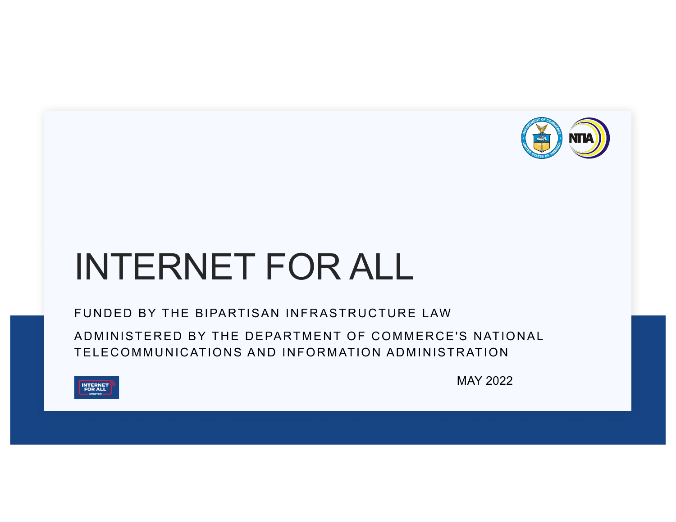

# INTERNET FOR ALL

FUNDED BY THE BIPARTISAN INFRASTRUCTURE LAW

ADMINISTERED BY THE DEPARTMENT OF COMMERCE'S NATIONAL TELECOMMUNICATIONS AND INFORMATION ADMINISTRATION



MAY 2022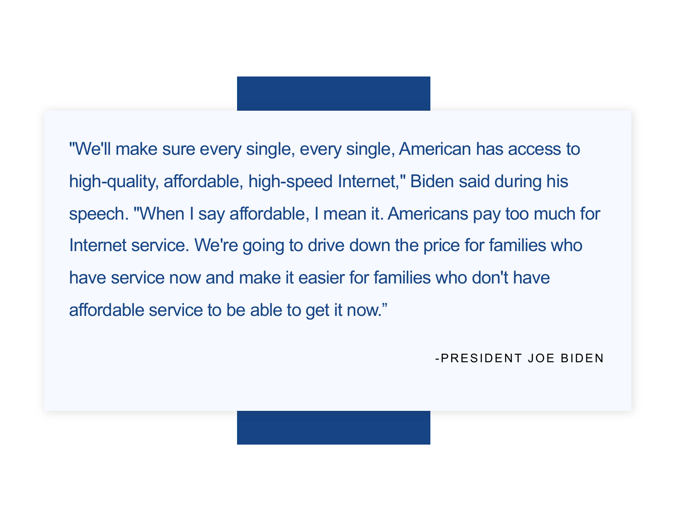"We'll make sure every single, every single, American has access to high-quality, affordable, high-speed Internet," Biden said during his speech. "When I say affordable, I mean it. Americans pay too much for Internet service. We're going to drive down the price for families who have service now and make it easier for families who don't have affordable service to be able to get it now."

-PRESIDENT JOE BIDEN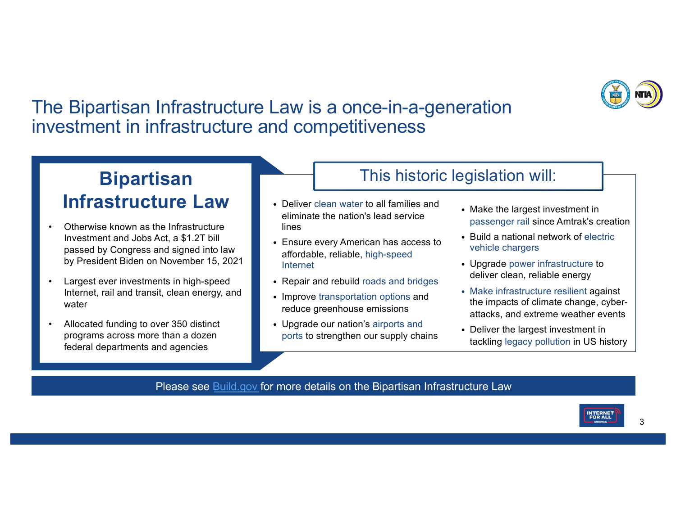

### The Bipartisan Infrastructure Law is a once-in-a-generation investment in infrastructure and competitiveness

### **Bipartisan Infrastructure Law**

- Otherwise known as the Infrastructure Investment and Jobs Act, a \$1.2T bill passed by Congress and signed into law by President Biden on November 15, 2021
- Largest ever investments in high-speed Internet, rail and transit, clean energy, and water
- Allocated funding to over 350 distinct programs across more than a dozen federal departments and agencies
- Deliver clean water to all families and eliminate the nation's lead service lines
- Ensure every American has access to affordable, reliable, high-speed Internet
- Repair and rebuild roads and bridges
- Improve transportation options and reduce greenhouse emissions
- Upgrade our nation's airports and ports to strengthen our supply chains
- Make the largest investment in passenger rail since Amtrak's creation
- Build a national network of electric vehicle chargers

This historic legislation will:

- Upgrade power infrastructure to deliver clean, reliable energy
- Make infrastructure resilient against the impacts of climate change, cyberattacks, and extreme weather events
- Deliver the largest investment in tackling legacy pollution in US history

#### Please s[ee Build.go](https://www.build.gov/)v for more details on the Bipartisan Infrastructure Law

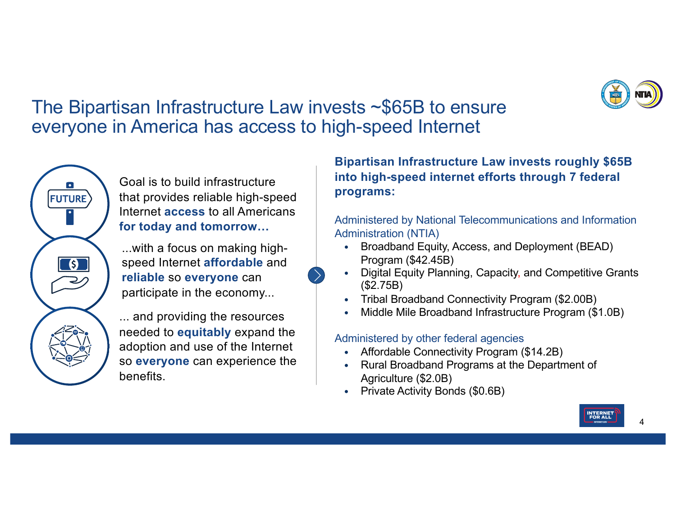

### The Bipartisan Infrastructure Law invests ~\$65B to ensure everyone in America has access to high-speed Internet

Goal is to build infrastructure that provides reliable high-speed Internet **access** to all Americans **for today and tomorrow…**

**FUTURE** 

 $\overline{\mathbf{S}}$ 

...with a focus on making highspeed Internet **affordable** and **reliable** so **everyone** can participate in the economy...

... and providing the resources needed to **equitably** expand the adoption and use of the Internet so **everyone** can experience the benefits.

### **Bipartisan Infrastructure Law invests roughly \$65B into high-speed internet efforts through 7 federal programs:**

Administered by National Telecommunications and Information Administration (NTIA)

- Broadband Equity, Access, and Deployment (BEAD) Program (\$42.45B)
- Digital Equity Planning, Capacity, and Competitive Grants (\$2.75B)
- Tribal Broadband Connectivity Program (\$2.00B)
- Middle Mile Broadband Infrastructure Program (\$1.0B)

#### Administered by other federal agencies

- Affordable Connectivity Program (\$14.2B)
- Rural Broadband Programs at the Department of Agriculture (\$2.0B)
- Private Activity Bonds (\$0.6B)

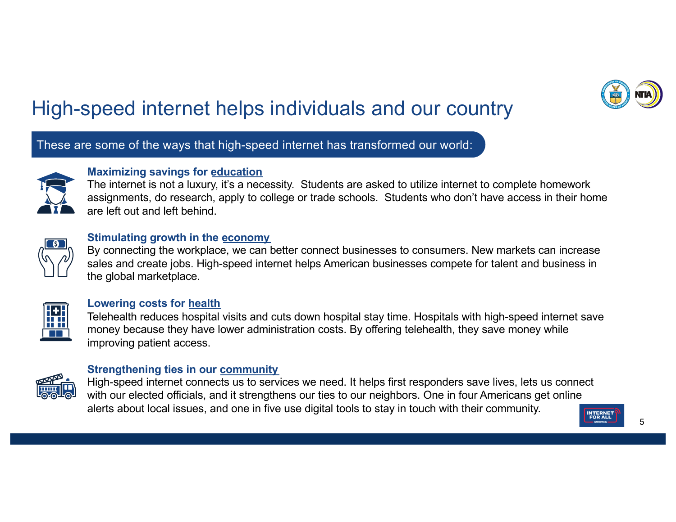

## High-speed internet helps individuals and our country

These are some of the ways that high-speed internet has transformed our world:



#### **Maximizing savings for education**

The internet is not a luxury, it's a necessity. Students are asked to utilize internet to complete homework assignments, do research, apply to college or trade schools. Students who don't have access in their home are left out and left behind.



#### **Stimulating growth in the economy**

By connecting the workplace, we can better connect businesses to consumers. New markets can increase sales and create jobs. High-speed internet helps American businesses compete for talent and business in the global marketplace.



#### **Lowering costs for health**

Telehealth reduces hospital visits and cuts down hospital stay time. Hospitals with high-speed internet save money because they have lower administration costs. By offering telehealth, they save money while improving patient access.



#### **Strengthening ties in our community**

High-speed internet connects us to services we need. It helps first responders save lives, lets us connect with our elected officials, and it strengthens our ties to our neighbors. One in four Americans get online alerts about local issues, and one in five use digital tools to stay in touch with their community.

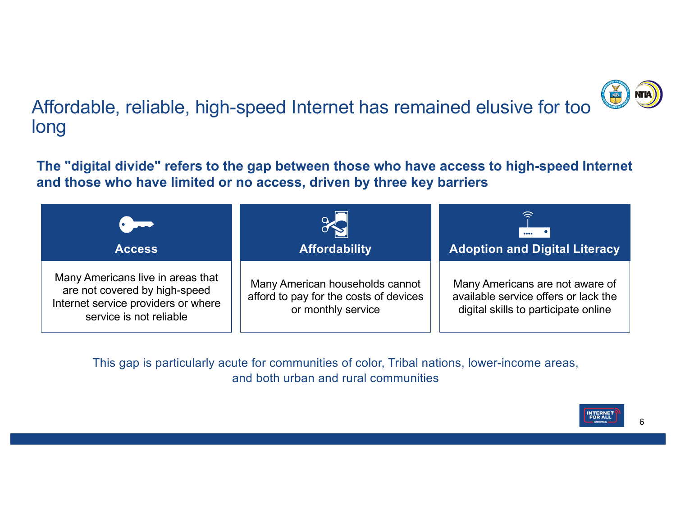

Affordable, reliable, high-speed Internet has remained elusive for too long

**The "digital divide" refers to the gap between those who have access to high-speed Internet and those who have limited or no access, driven by three key barriers**

| <b>Access</b>                                                                                                                        | <b>Affordability</b>                                                                            | ੇ<br>$\cdots$<br><b>Adoption and Digital Literacy</b>                                                           |
|--------------------------------------------------------------------------------------------------------------------------------------|-------------------------------------------------------------------------------------------------|-----------------------------------------------------------------------------------------------------------------|
| Many Americans live in areas that<br>are not covered by high-speed<br>Internet service providers or where<br>service is not reliable | Many American households cannot<br>afford to pay for the costs of devices<br>or monthly service | Many Americans are not aware of<br>available service offers or lack the<br>digital skills to participate online |

This gap is particularly acute for communities of color, Tribal nations, lower-income areas, and both urban and rural communities

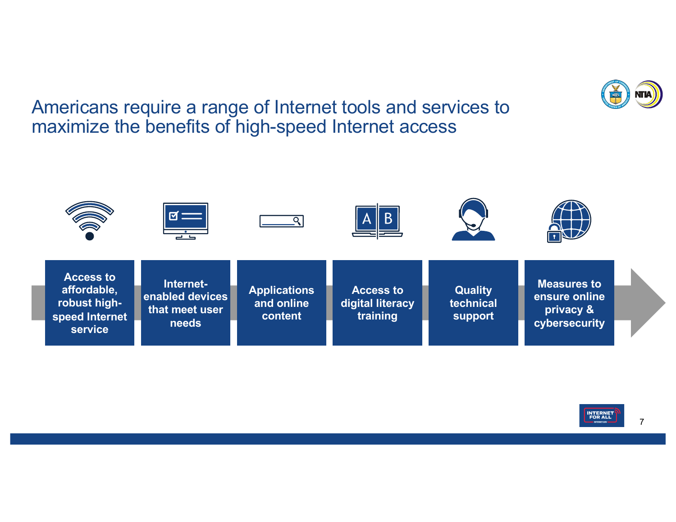Americans require a range of Internet tools and services to maximize the benefits of high-speed Internet access





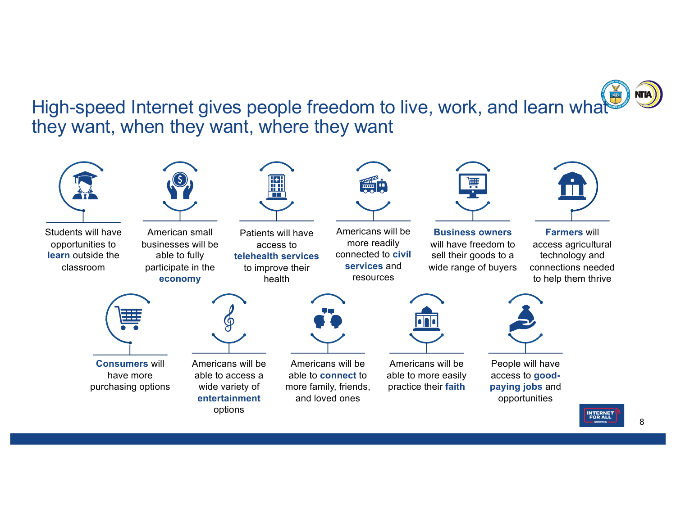High-speed Internet gives people freedom to live, work, and learn what they want, when they want, where they want

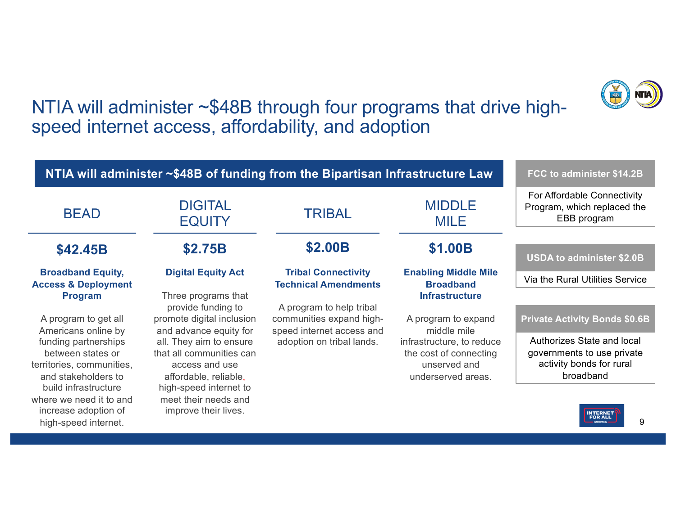

### NTIA will administer ~\$48B through four programs that drive highspeed internet access, affordability, and adoption

|                                                                                                 |                                                                                                | NTIA will administer ~\$48B of funding from the Bipartisan Infrastructure Law     |                                                                                           | FCC to administer \$14.2B                                                                         |
|-------------------------------------------------------------------------------------------------|------------------------------------------------------------------------------------------------|-----------------------------------------------------------------------------------|-------------------------------------------------------------------------------------------|---------------------------------------------------------------------------------------------------|
| <b>BEAD</b>                                                                                     | <b>DIGITAL</b><br><b>EQUITY</b>                                                                | <b>TRIBAL</b>                                                                     | <b>MIDDLE</b><br><b>MILE</b>                                                              | For Affordable Connectivity<br>Program, which replaced the<br>EBB program                         |
|                                                                                                 |                                                                                                | <b>\$2.00B</b>                                                                    |                                                                                           |                                                                                                   |
| \$42.45B                                                                                        | <b>\$2.75B</b>                                                                                 |                                                                                   | \$1.00B                                                                                   | <b>USDA to administer \$2.0B</b>                                                                  |
| <b>Broadband Equity,</b><br><b>Access &amp; Deployment</b>                                      | <b>Digital Equity Act</b>                                                                      | <b>Tribal Connectivity</b><br><b>Technical Amendments</b>                         | <b>Enabling Middle Mile</b><br><b>Broadband</b>                                           | Via the Rural Utilities Service                                                                   |
| <b>Program</b>                                                                                  | Three programs that                                                                            |                                                                                   | <b>Infrastructure</b>                                                                     |                                                                                                   |
| A program to get all<br>Americans online by                                                     | provide funding to<br>promote digital inclusion<br>and advance equity for                      | A program to help tribal<br>communities expand high-<br>speed internet access and | A program to expand<br>middle mile                                                        | <b>Private Activity Bonds \$0.6B</b>                                                              |
| funding partnerships<br>between states or<br>territories, communities,<br>and stakeholders to   | all. They aim to ensure<br>that all communities can<br>access and use<br>affordable, reliable, | adoption on tribal lands.                                                         | infrastructure, to reduce<br>the cost of connecting<br>unserved and<br>underserved areas. | Authorizes State and local<br>governments to use private<br>activity bonds for rural<br>broadband |
| build infrastructure<br>where we need it to and<br>increase adoption of<br>high-speed internet. | high-speed internet to<br>meet their needs and<br>improve their lives.                         |                                                                                   |                                                                                           | <b>INTERNET</b><br><b>FOR ALL</b><br>9<br>INTERNET CO                                             |
|                                                                                                 |                                                                                                |                                                                                   |                                                                                           |                                                                                                   |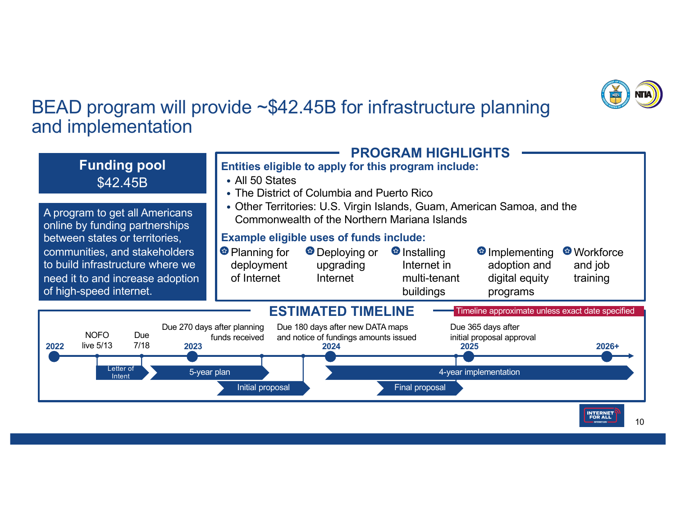

### BEAD program will provide ~\$42.45B for infrastructure planning and implementation

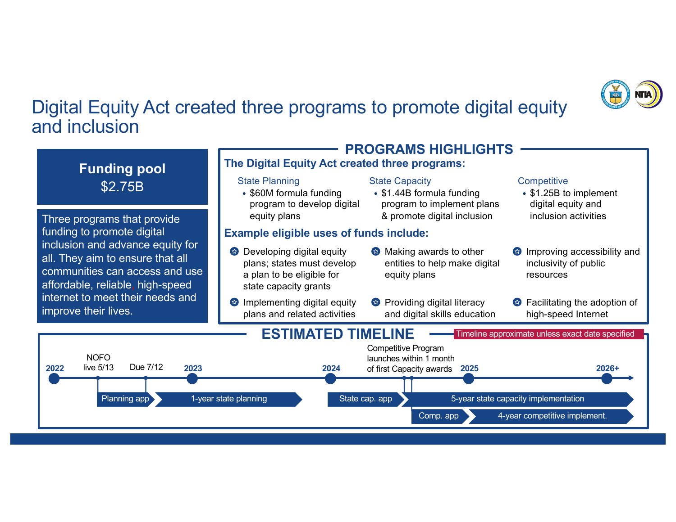

### Digital Equity Act created three programs to promote digital equity and inclusion

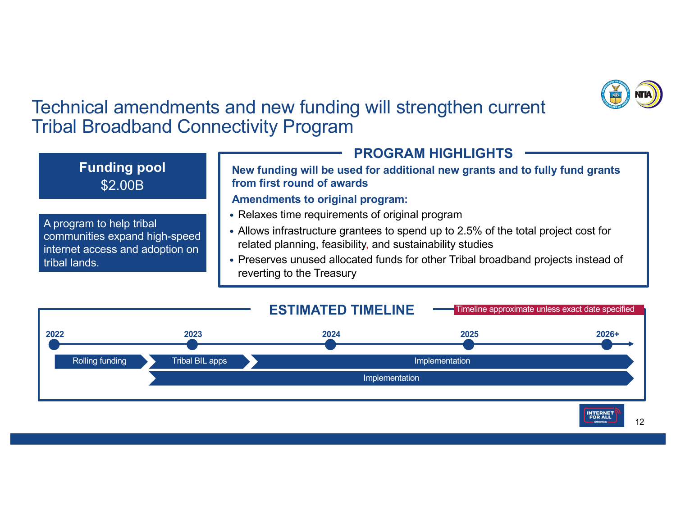

### Technical amendments and new funding will strengthen current Tribal Broadband Connectivity Program



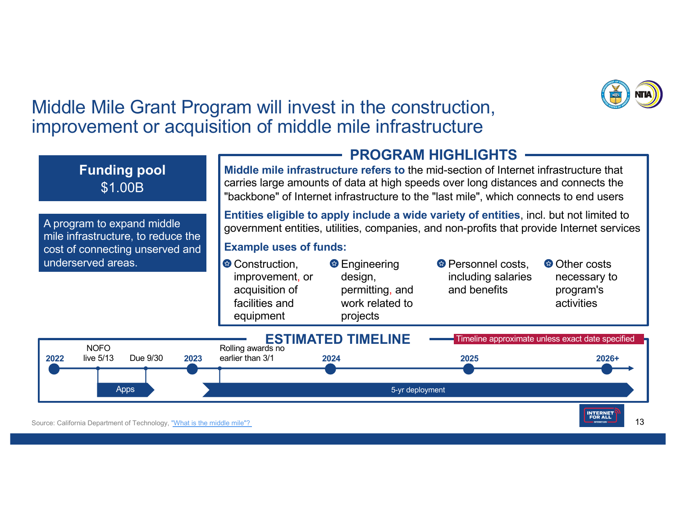

### Middle Mile Grant Program will invest in the construction, improvement or acquisition of middle mile infrastructure

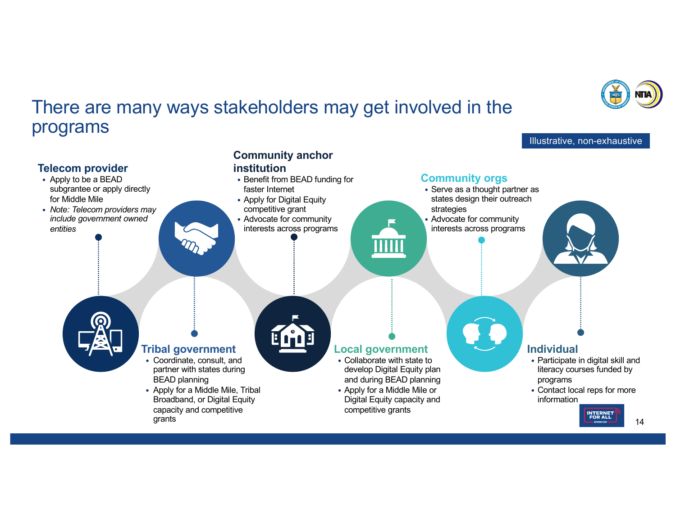

Illustrative, non-exhaustive

### There are many ways stakeholders may get involved in the programs

#### **Community anchor Telecom provider institution** • Benefit from BEAD funding for **Community orgs** • Apply to be a BEAD subgrantee or apply directly • Serve as a thought partner as faster Internet for Middle Mile • Apply for Digital Equity states design their outreach competitive grant • *Note: Telecom providers may*  strategies *include government owned*  • Advocate for community • Advocate for community *entities* interests across programs interests across programs  $\overline{\rm{H}}\overline{\rm{H}}$ **Tribal government Individual Local government** • Coordinate, consult, and • Collaborate with state to • Participate in digital skill and partner with states during develop Digital Equity plan literacy courses funded by BEAD planning and during BEAD planning programs • Apply for a Middle Mile, Tribal • Contact local reps for more • Apply for a Middle Mile or Broadband, or Digital Equity Digital Equity capacity and information capacity and competitive competitive grants **INTERNET**<br>FOR ALL grants 14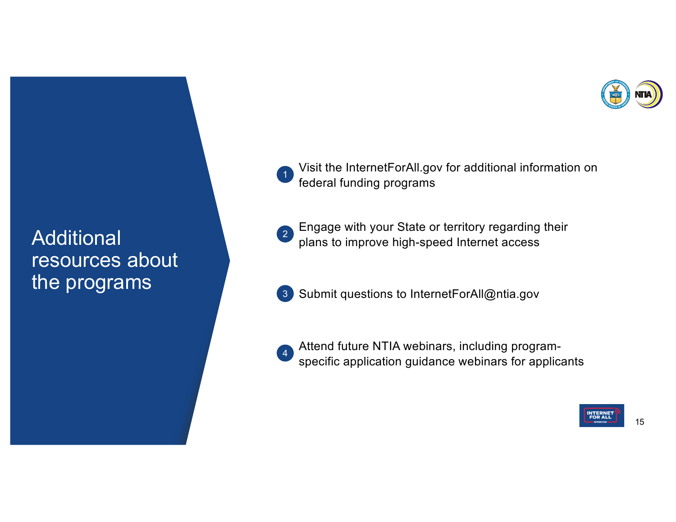

**Additional** resources about the programs

Visit the InternetForAll.gov for additional information on federal funding programs  $\left( 1 \right)$ 

Engage with your State or territory regarding their plans to improve high-speed Internet access 2

Submit questions to InternetForAll@ntia.gov 3

Attend future NTIA webinars, including programspecific application guidance webinars for applicants 4